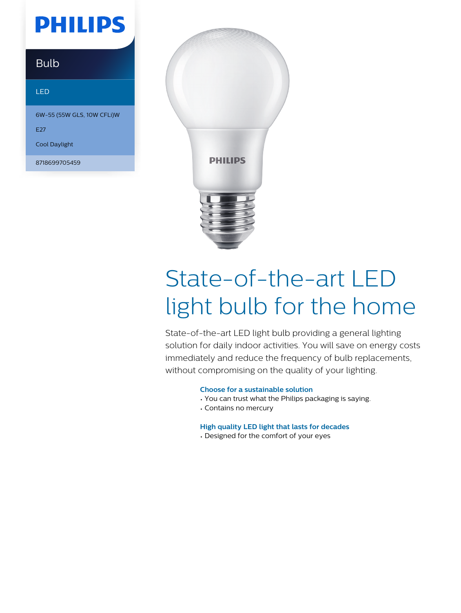## **PHILIPS**

### **Bulb**

#### LED

6W-55 (55W GLS, 10W CFLi)W

E27

Cool Daylight

8718699705459



# State-of-the-art LED light bulb for the home

State-of-the-art LED light bulb providing a general lighting solution for daily indoor activities. You will save on energy costs immediately and reduce the frequency of bulb replacements, without compromising on the quality of your lighting.

#### **Choose for a sustainable solution**

- You can trust what the Philips packaging is saying.
- Contains no mercury

#### **High quality LED light that lasts for decades**

• Designed for the comfort of your eyes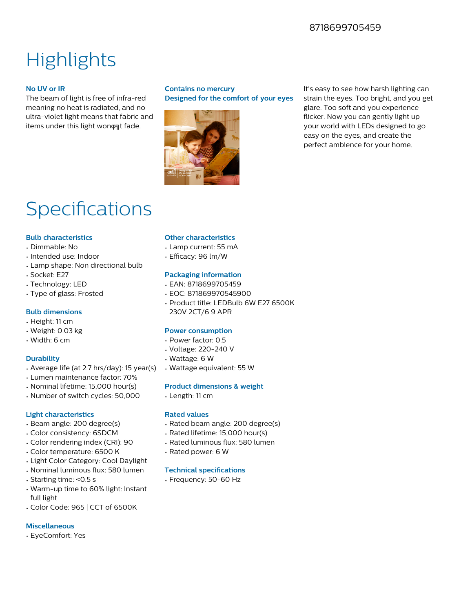#### 8718699705459

### **Highlights**

#### **No UV or IR**

The beam of light is free of infra-red meaning no heat is radiated, and no ultra-violet light means that fabric and items under this light won on t fade.

#### **Contains no mercury Designed for the comfort of your eyes**



It's easy to see how harsh lighting can strain the eyes. Too bright, and you get glare. Too soft and you experience flicker. Now you can gently light up your world with LEDs designed to go easy on the eyes, and create the perfect ambience for your home.

### Specifications

#### **Bulb characteristics**

- Dimmable: No
- Intended use: Indoor
- Lamp shape: Non directional bulb
- Socket: E27
- Technology: LED
- Type of glass: Frosted

#### **Bulb dimensions**

- Height: 11 cm
- Weight: 0.03 kg
- Width: 6 cm

#### **Durability**

- Average life (at 2.7 hrs/day): 15 year(s)
- Lumen maintenance factor: 70%
- Nominal lifetime: 15,000 hour(s)
- Number of switch cycles: 50,000

#### **Light characteristics**

- Beam angle: 200 degree(s)
- Color consistency: 6SDCM
- Color rendering index (CRI): 90
- Color temperature: 6500 K
- Light Color Category: Cool Daylight
- Nominal luminous flux: 580 lumen
- Starting time: <0.5 s
- Warm-up time to 60% light: Instant full light
- Color Code: 965 | CCT of 6500K

#### **Miscellaneous**

• EyeComfort: Yes

#### **Other characteristics**

- Lamp current: 55 mA
- Efficacy: 96 lm/W

#### **Packaging information**

- EAN: 8718699705459
- EOC: 871869970545900
- Product title: LEDBulb 6W E27 6500K 230V 2CT/6 9 APR

#### **Power consumption**

- Power factor: 0.5
- Voltage: 220-240 V
- Wattage: 6 W
- Wattage equivalent: 55 W

#### **Product dimensions & weight**

• Length: 11 cm

#### **Rated values**

- Rated beam angle: 200 degree(s)
- Rated lifetime: 15,000 hour(s)
- Rated luminous flux: 580 lumen
- Rated power: 6 W

#### **Technical specifications**

• Frequency: 50-60 Hz